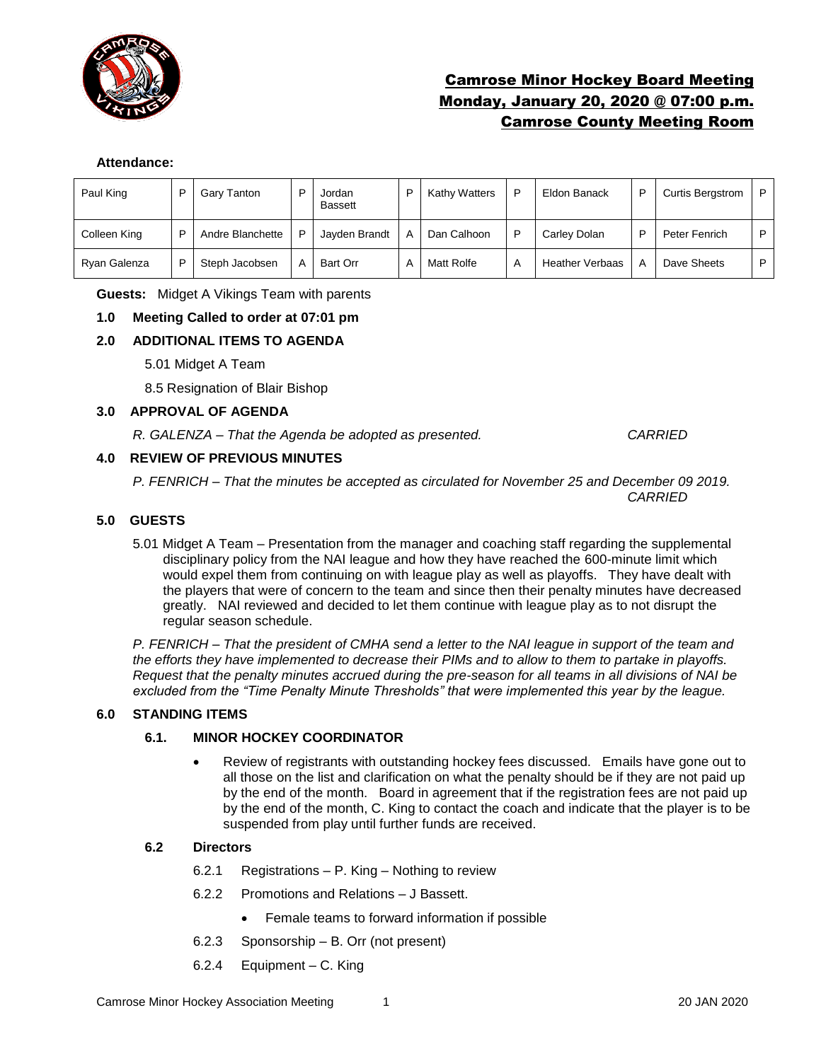

# Camrose Minor Hockey Board Meeting Monday, January 20, 2020 @ 07:00 p.m. Camrose County Meeting Room

#### **Attendance:**

| Paul King    | ▫ | Gary Tanton      | D | Jordan<br><b>Bassett</b> | Kathy Watters |   | Eldon Banack           | P                       | <b>Curtis Bergstrom</b> | P |
|--------------|---|------------------|---|--------------------------|---------------|---|------------------------|-------------------------|-------------------------|---|
| Colleen King | P | Andre Blanchette | P | Javden Brandt            | Dan Calhoon   |   | Carley Dolan           | D                       | Peter Fenrich           | P |
| Ryan Galenza | P | Steph Jacobsen   | A | Bart Orr                 | Matt Rolfe    | A | <b>Heather Verbaas</b> | $\overline{\mathsf{A}}$ | Dave Sheets             | P |

**Guests:** Midget A Vikings Team with parents

## **1.0 Meeting Called to order at 07:01 pm**

## **2.0 ADDITIONAL ITEMS TO AGENDA**

5.01 Midget A Team

8.5 Resignation of Blair Bishop

#### **3.0 APPROVAL OF AGENDA**

*R. GALENZA – That the Agenda be adopted as presented. CARRIED*

## **4.0 REVIEW OF PREVIOUS MINUTES**

*P. FENRICH – That the minutes be accepted as circulated for November 25 and December 09 2019. CARRIED*

#### **5.0 GUESTS**

5.01 Midget A Team – Presentation from the manager and coaching staff regarding the supplemental disciplinary policy from the NAI league and how they have reached the 600-minute limit which would expel them from continuing on with league play as well as playoffs. They have dealt with the players that were of concern to the team and since then their penalty minutes have decreased greatly. NAI reviewed and decided to let them continue with league play as to not disrupt the regular season schedule.

*P. FENRICH – That the president of CMHA send a letter to the NAI league in support of the team and the efforts they have implemented to decrease their PIMs and to allow to them to partake in playoffs. Request that the penalty minutes accrued during the pre-season for all teams in all divisions of NAI be excluded from the "Time Penalty Minute Thresholds" that were implemented this year by the league.* 

#### **6.0 STANDING ITEMS**

#### **6.1. MINOR HOCKEY COORDINATOR**

• Review of registrants with outstanding hockey fees discussed. Emails have gone out to all those on the list and clarification on what the penalty should be if they are not paid up by the end of the month. Board in agreement that if the registration fees are not paid up by the end of the month, C. King to contact the coach and indicate that the player is to be suspended from play until further funds are received.

## **6.2 Directors**

- 6.2.1 Registrations P. King Nothing to review
- 6.2.2 Promotions and Relations J Bassett.
	- Female teams to forward information if possible
- 6.2.3 Sponsorship B. Orr (not present)
- 6.2.4 Equipment C. King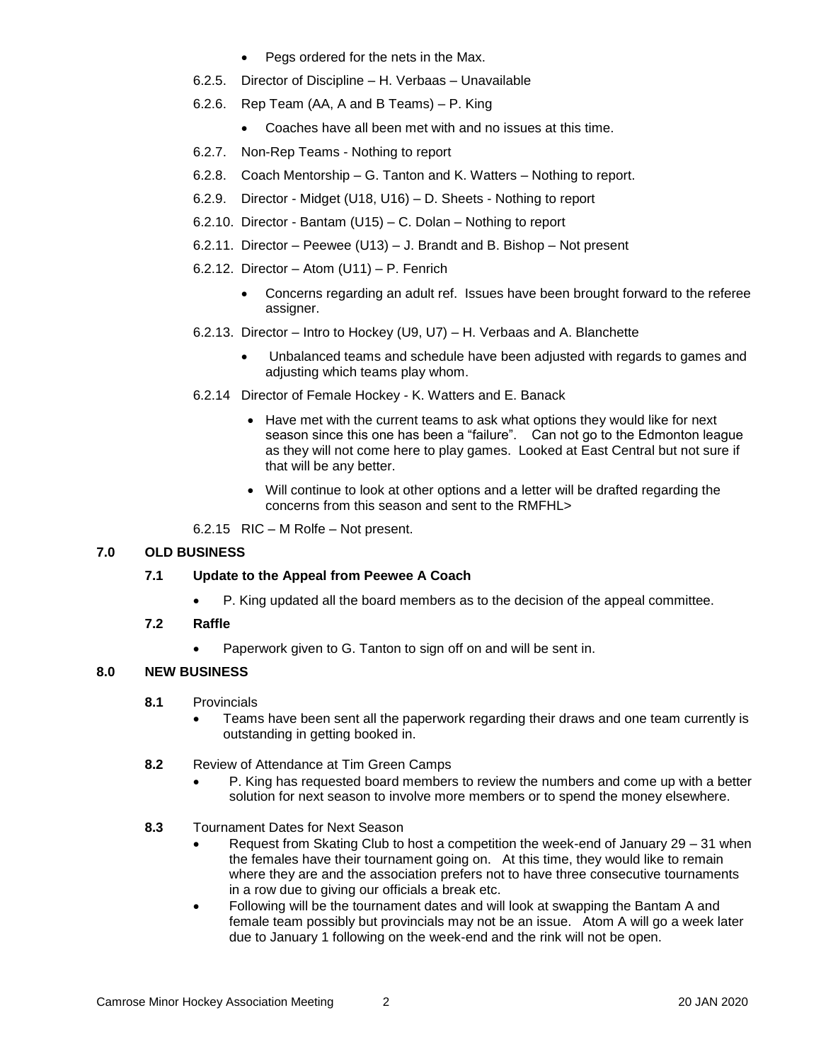- Pegs ordered for the nets in the Max.
- 6.2.5. Director of Discipline H. Verbaas Unavailable
- 6.2.6. Rep Team (AA, A and B Teams) P. King
	- Coaches have all been met with and no issues at this time.
- 6.2.7. Non-Rep Teams Nothing to report
- 6.2.8. Coach Mentorship G. Tanton and K. Watters Nothing to report.
- 6.2.9. Director Midget (U18, U16) D. Sheets Nothing to report
- 6.2.10. Director Bantam (U15) C. Dolan Nothing to report
- 6.2.11. Director Peewee (U13) J. Brandt and B. Bishop Not present
- 6.2.12. Director Atom (U11) P. Fenrich
	- Concerns regarding an adult ref. Issues have been brought forward to the referee assigner.
- 6.2.13. Director Intro to Hockey (U9, U7) H. Verbaas and A. Blanchette
	- Unbalanced teams and schedule have been adjusted with regards to games and adjusting which teams play whom.
- 6.2.14 Director of Female Hockey K. Watters and E. Banack
	- Have met with the current teams to ask what options they would like for next season since this one has been a "failure". Can not go to the Edmonton league as they will not come here to play games. Looked at East Central but not sure if that will be any better.
	- Will continue to look at other options and a letter will be drafted regarding the concerns from this season and sent to the RMFHL>
- 6.2.15 RIC M Rolfe Not present.

## **7.0 OLD BUSINESS**

#### **7.1 Update to the Appeal from Peewee A Coach**

• P. King updated all the board members as to the decision of the appeal committee.

## **7.2 Raffle**

• Paperwork given to G. Tanton to sign off on and will be sent in.

## **8.0 NEW BUSINESS**

- **8.1** Provincials
	- Teams have been sent all the paperwork regarding their draws and one team currently is outstanding in getting booked in.
- **8.2** Review of Attendance at Tim Green Camps
	- P. King has requested board members to review the numbers and come up with a better solution for next season to involve more members or to spend the money elsewhere.
- **8.3** Tournament Dates for Next Season
	- Request from Skating Club to host a competition the week-end of January 29 31 when the females have their tournament going on. At this time, they would like to remain where they are and the association prefers not to have three consecutive tournaments in a row due to giving our officials a break etc.
	- Following will be the tournament dates and will look at swapping the Bantam A and female team possibly but provincials may not be an issue. Atom A will go a week later due to January 1 following on the week-end and the rink will not be open.